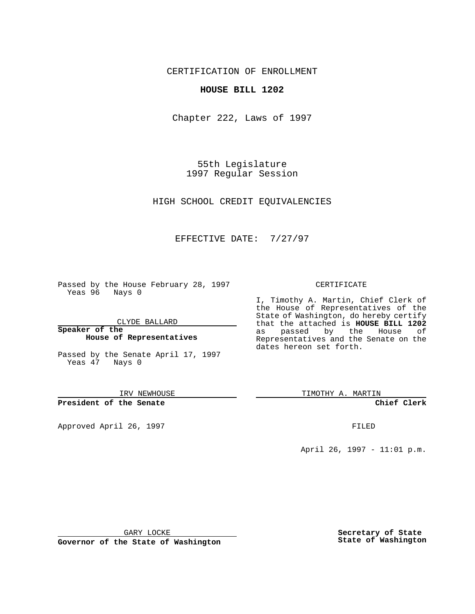CERTIFICATION OF ENROLLMENT

## **HOUSE BILL 1202**

Chapter 222, Laws of 1997

55th Legislature 1997 Regular Session

HIGH SCHOOL CREDIT EQUIVALENCIES

## EFFECTIVE DATE: 7/27/97

Passed by the House February 28, 1997 Yeas 96 Nays 0

CLYDE BALLARD

**Speaker of the House of Representatives**

Passed by the Senate April 17, 1997 Yeas 47 Nays 0

IRV NEWHOUSE

**President of the Senate**

Approved April 26, 1997 **FILED** 

## CERTIFICATE

I, Timothy A. Martin, Chief Clerk of the House of Representatives of the State of Washington, do hereby certify that the attached is **HOUSE BILL 1202** as passed by the House of Representatives and the Senate on the dates hereon set forth.

TIMOTHY A. MARTIN

**Chief Clerk**

April 26, 1997 - 11:01 p.m.

GARY LOCKE

**Governor of the State of Washington**

**Secretary of State State of Washington**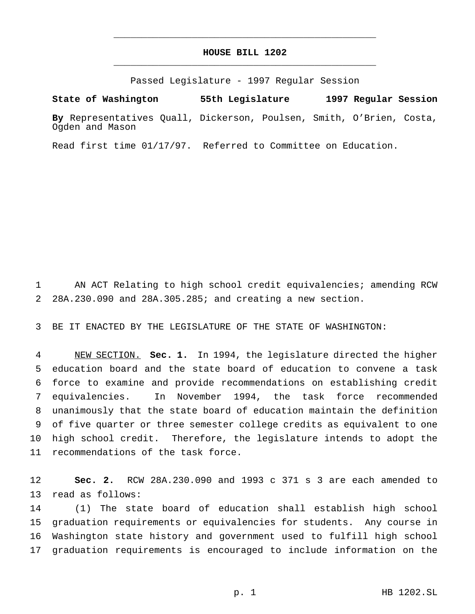## **HOUSE BILL 1202** \_\_\_\_\_\_\_\_\_\_\_\_\_\_\_\_\_\_\_\_\_\_\_\_\_\_\_\_\_\_\_\_\_\_\_\_\_\_\_\_\_\_\_\_\_\_\_

\_\_\_\_\_\_\_\_\_\_\_\_\_\_\_\_\_\_\_\_\_\_\_\_\_\_\_\_\_\_\_\_\_\_\_\_\_\_\_\_\_\_\_\_\_\_\_

Passed Legislature - 1997 Regular Session

**State of Washington 55th Legislature 1997 Regular Session**

**By** Representatives Quall, Dickerson, Poulsen, Smith, O'Brien, Costa, Ogden and Mason

Read first time 01/17/97. Referred to Committee on Education.

 AN ACT Relating to high school credit equivalencies; amending RCW 28A.230.090 and 28A.305.285; and creating a new section.

BE IT ENACTED BY THE LEGISLATURE OF THE STATE OF WASHINGTON:

 NEW SECTION. **Sec. 1.** In 1994, the legislature directed the higher education board and the state board of education to convene a task force to examine and provide recommendations on establishing credit equivalencies. In November 1994, the task force recommended unanimously that the state board of education maintain the definition of five quarter or three semester college credits as equivalent to one high school credit. Therefore, the legislature intends to adopt the recommendations of the task force.

 **Sec. 2.** RCW 28A.230.090 and 1993 c 371 s 3 are each amended to read as follows:

 (1) The state board of education shall establish high school graduation requirements or equivalencies for students. Any course in Washington state history and government used to fulfill high school graduation requirements is encouraged to include information on the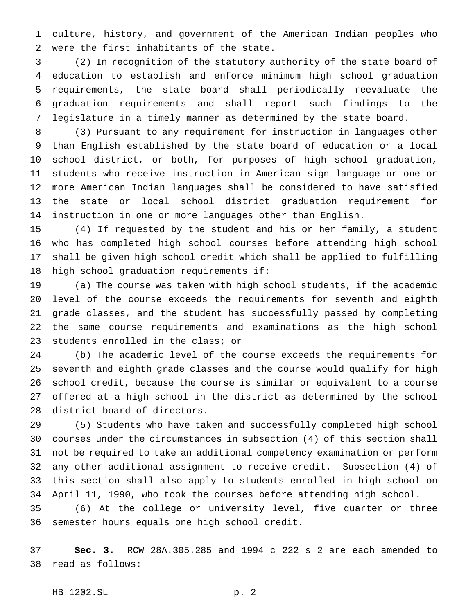culture, history, and government of the American Indian peoples who were the first inhabitants of the state.

 (2) In recognition of the statutory authority of the state board of education to establish and enforce minimum high school graduation requirements, the state board shall periodically reevaluate the graduation requirements and shall report such findings to the legislature in a timely manner as determined by the state board.

 (3) Pursuant to any requirement for instruction in languages other than English established by the state board of education or a local school district, or both, for purposes of high school graduation, students who receive instruction in American sign language or one or more American Indian languages shall be considered to have satisfied the state or local school district graduation requirement for instruction in one or more languages other than English.

 (4) If requested by the student and his or her family, a student who has completed high school courses before attending high school shall be given high school credit which shall be applied to fulfilling high school graduation requirements if:

 (a) The course was taken with high school students, if the academic level of the course exceeds the requirements for seventh and eighth grade classes, and the student has successfully passed by completing the same course requirements and examinations as the high school students enrolled in the class; or

 (b) The academic level of the course exceeds the requirements for seventh and eighth grade classes and the course would qualify for high school credit, because the course is similar or equivalent to a course offered at a high school in the district as determined by the school district board of directors.

 (5) Students who have taken and successfully completed high school courses under the circumstances in subsection (4) of this section shall not be required to take an additional competency examination or perform any other additional assignment to receive credit. Subsection (4) of this section shall also apply to students enrolled in high school on April 11, 1990, who took the courses before attending high school.

 (6) At the college or university level, five quarter or three 36 semester hours equals one high school credit.

 **Sec. 3.** RCW 28A.305.285 and 1994 c 222 s 2 are each amended to read as follows: